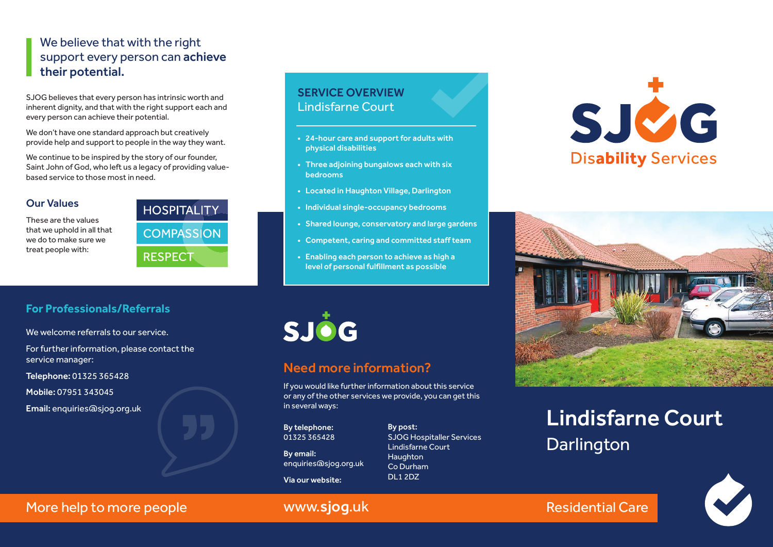## We believe that with the right support every person can achieve their potential.

SJOG believes that every person has intrinsic worth and inherent dignity, and that with the right support each and every person can achieve their potential.

We don't have one standard approach but creatively provide help and support to people in the way they want.

We continue to be inspired by the story of our founder, Saint John of God, who left us a legacy of providing valuebased service to those most in need.

#### Our Values

These are the values that we uphold in all that we do to make sure we treat people with:



### SERVICE OVERVIEW Lindisfarne Court

- 24-hour care and support for adults with physical disabilities
- Three adjoining bungalows each with six bedrooms
- Located in Haughton Village, Darlington
- Individual single-occupancy bedrooms
- Shared lounge, conservatory and large gardens
- Competent, caring and committed staff team
- Enabling each person to achieve as high a level of personal fulfillment as possible





# Lindisfarne Court **Darlington**



#### **For Professionals/Referrals**

We welcome referrals to our service.

For further information, please contact the service manager:

Telephone: 01325 365428

Mobile: 07951 343045

Email: enquiries@sjog.org.uk



# Need more information?

If you would like further information about this service or any of the other services we provide, you can get this in several ways:

By telephone: 01325 365428

By email: enquiries@sjog.org.uk Via our website:

**Haughton** Co Durham DL1 2DZ

By post: SJOG Hospitaller Services Lindisfarne Court

More help to more people **Exercise Service Service Care** Residential Care

# www.sjog.uk